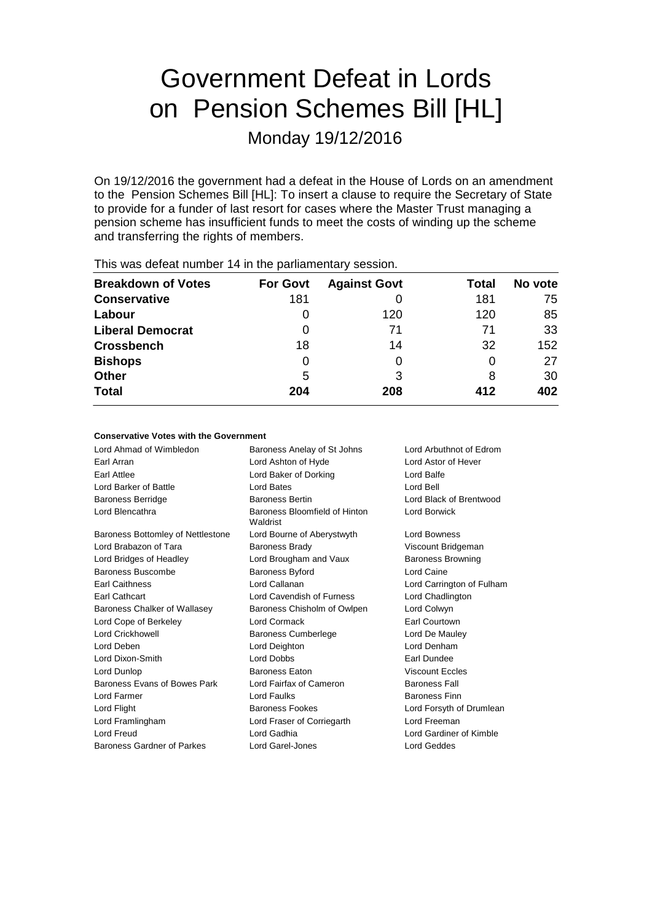# Government Defeat in Lords on Pension Schemes Bill [HL]

Monday 19/12/2016

On 19/12/2016 the government had a defeat in the House of Lords on an amendment to the Pension Schemes Bill [HL]: To insert a clause to require the Secretary of State to provide for a funder of last resort for cases where the Master Trust managing a pension scheme has insufficient funds to meet the costs of winding up the scheme and transferring the rights of members.

| This was abloat harmoof I Fill the parliamentary occolor. |                 |                     |       |         |  |  |  |
|-----------------------------------------------------------|-----------------|---------------------|-------|---------|--|--|--|
| <b>Breakdown of Votes</b>                                 | <b>For Govt</b> | <b>Against Govt</b> | Total | No vote |  |  |  |
| <b>Conservative</b>                                       | 181             |                     | 181   | 75      |  |  |  |
| Labour                                                    | O               | 120                 | 120   | 85      |  |  |  |
| <b>Liberal Democrat</b>                                   | 0               | 71                  | 71    | 33      |  |  |  |
| <b>Crossbench</b>                                         | 18              | 14                  | 32    | 152     |  |  |  |
| <b>Bishops</b>                                            | O               | 0                   | 0     | 27      |  |  |  |
| <b>Other</b>                                              | 5               | 3                   | 8     | 30      |  |  |  |
| <b>Total</b>                                              | 204             | 208                 | 412   | 402     |  |  |  |
|                                                           |                 |                     |       |         |  |  |  |

This was defeat number 14 in the parliamentary session.

## **Conservative Votes with the Government**

| Lord Ahmad of Wimbledon           | Baroness Anelay of St Johns               | Lord Arbuthnot of Edrom   |
|-----------------------------------|-------------------------------------------|---------------------------|
| Earl Arran                        | Lord Ashton of Hyde                       | Lord Astor of Hever       |
| Earl Attlee                       | Lord Baker of Dorking                     | Lord Balfe                |
| Lord Barker of Battle             | Lord Bates                                | Lord Bell                 |
| <b>Baroness Berridge</b>          | <b>Baroness Bertin</b>                    | Lord Black of Brentwood   |
| Lord Blencathra                   | Baroness Bloomfield of Hinton<br>Waldrist | <b>Lord Borwick</b>       |
| Baroness Bottomley of Nettlestone | Lord Bourne of Aberystwyth                | <b>Lord Bowness</b>       |
| Lord Brabazon of Tara             | <b>Baroness Brady</b>                     | Viscount Bridgeman        |
| Lord Bridges of Headley           | Lord Brougham and Vaux                    | <b>Baroness Browning</b>  |
| Baroness Buscombe                 | <b>Baroness Byford</b>                    | <b>Lord Caine</b>         |
| <b>Earl Caithness</b>             | Lord Callanan                             | Lord Carrington of Fulham |
| Earl Cathcart                     | Lord Cavendish of Furness                 | Lord Chadlington          |
| Baroness Chalker of Wallasey      | Baroness Chisholm of Owlpen               | Lord Colwyn               |
| Lord Cope of Berkeley             | Lord Cormack                              | Earl Courtown             |
| <b>Lord Crickhowell</b>           | <b>Baroness Cumberlege</b>                | Lord De Mauley            |
| Lord Deben                        | Lord Deighton                             | Lord Denham               |
| Lord Dixon-Smith                  | Lord Dobbs                                | Earl Dundee               |
| Lord Dunlop                       | <b>Baroness Eaton</b>                     | <b>Viscount Eccles</b>    |
| Baroness Evans of Bowes Park      | Lord Fairfax of Cameron                   | <b>Baroness Fall</b>      |
| Lord Farmer                       | Lord Faulks                               | <b>Baroness Finn</b>      |
| Lord Flight                       | <b>Baroness Fookes</b>                    | Lord Forsyth of Drumlean  |
| Lord Framlingham                  | Lord Fraser of Corriegarth                | Lord Freeman              |
| Lord Freud                        | Lord Gadhia                               | Lord Gardiner of Kimble   |
| Baroness Gardner of Parkes        | Lord Garel-Jones                          | Lord Geddes               |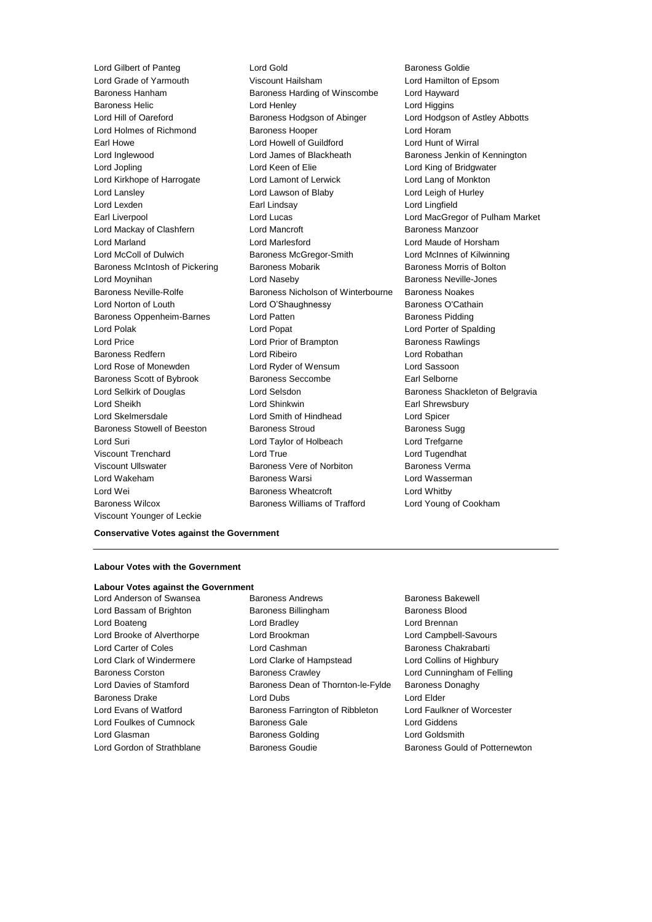Viscount Younger of Leckie

Lord Gilbert of Panteg Lord Gold Baroness Goldie Lord Grade of Yarmouth Viscount Hailsham Lord Hamilton of Epsom Baroness Hanham Baroness Harding of Winscombe Lord Hayward Baroness Helic Lord Henley Lord Higgins Lord Hill of Oareford Baroness Hodgson of Abinger Lord Hodgson of Astley Abbotts Lord Holmes of Richmond Baroness Hooper Lord Horam Earl Howe **Lord Howell of Guildford Lord Hunt of Wirral** Lord Inglewood **Lord James of Blackheath** Baroness Jenkin of Kennington Lord Jopling Lord Keen of Elie Lord King of Bridgwater Lord Kirkhope of Harrogate Lord Lamont of Lerwick Lord Lang of Monkton Lord Lansley Lord Lawson of Blaby Lord Leigh of Hurley Lord Lexden Earl Lindsay Lord Lingfield Earl Liverpool Lord Lucas Lord MacGregor of Pulham Market Lord Mackay of Clashfern **Lord Mancroft Baroness Manzoor** Baroness Manzoor Lord Marland Lord Marlesford Lord Maude of Horsham Lord McColl of Dulwich Baroness McGregor-Smith Lord McInnes of Kilwinning Baroness McIntosh of Pickering Baroness Mobarik Baroness Morris of Bolton Lord Moynihan **Lord Naseby Baroness Neville-Jones** Lord Naseby **Baroness Neville-Jones** Baroness Neville-Rolfe Baroness Nicholson of Winterbourne Baroness Noakes Lord Norton of Louth Lord O'Shaughnessy Baroness O'Cathain Baroness Oppenheim-Barnes Lord Patten **Baroness Pidding** Baroness Pidding Lord Polak Lord Popat Lord Porter of Spalding Lord Price Lord Prior of Brampton Baroness Rawlings Baroness Redfern Lord Ribeiro Lord Robathan Lord Rose of Monewden Lord Ryder of Wensum Lord Sassoon Baroness Scott of Bybrook Baroness Seccombe Earl Selborne Lord Selkirk of Douglas **Lord Selsdon** Baroness Shackleton of Belgravia Lord Sheikh **Lord Shinkwin** Earl Shrewsbury Lord Skelmersdale Lord Smith of Hindhead Lord Spicer Baroness Stowell of Beeston Baroness Stroud Baroness Sugg Lord Suri Lord Taylor of Holbeach Lord Trefgarne Viscount Trenchard Lord True Lord Tugendhat Viscount Ullswater Baroness Vere of Norbiton Baroness Verma Lord Wakeham Baroness Warsi Lord Wasserman Lord Wei **Baroness Wheatcroft** Lord Whitby **Containers** Baroness Wilcox Baroness Williams of Trafford Lord Young of Cookham

## **Conservative Votes against the Government**

## **Labour Votes with the Government**

#### **Labour Votes against the Government**

Lord Anderson of Swansea **Baroness Andrews** Baroness Bakewell Lord Bassam of Brighton Baroness Billingham Baroness Blood Lord Boateng Lord Bradley Lord Brennan Lord Brooke of Alverthorpe Lord Brookman Lord Campbell-Savours Lord Carter of Coles Lord Cashman Baroness Chakrabarti Lord Clark of Windermere Lord Clarke of Hampstead Lord Collins of Highbury Baroness Corston Baroness Crawley Lord Cunningham of Felling Lord Davies of Stamford Baroness Dean of Thornton-le-Fylde Baroness Donaghy Baroness Drake Lord Dubs Lord Elder Lord Evans of Watford Baroness Farrington of Ribbleton Lord Faulkner of Worcester Lord Foulkes of Cumnock Baroness Gale Lord Giddens Lord Glasman **Baroness Golding Class Colding** Lord Goldsmith Lord Gordon of Strathblane Baroness Goudie Baroness Gould of Potternewton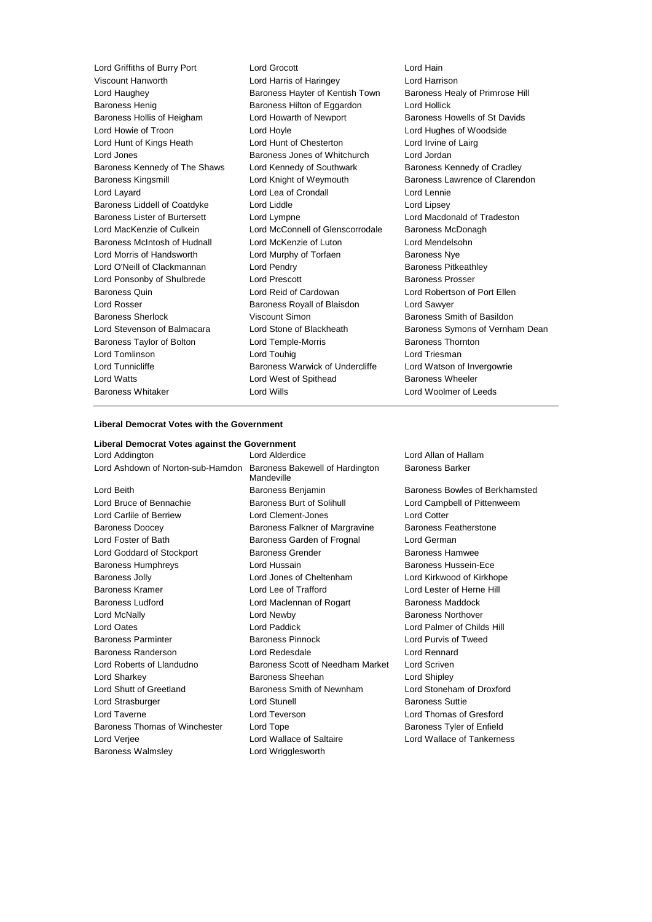Lord Griffiths of Burry Port Lord Grocott Lord Hain Viscount Hanworth Lord Harris of Haringey Lord Harrison Lord Haughey **Baroness Hayter of Kentish Town** Baroness Healy of Primrose Hill Baroness Henig Baroness Hilton of Eggardon Lord Hollick Baroness Hollis of Heigham Lord Howarth of Newport Baroness Howells of St Davids Lord Howie of Troon Lord Hoyle Lord Hughes of Woodside Lord Hunt of Kings Heath Lord Hunt of Chesterton Lord Irvine of Lairg Lord Jones Baroness Jones of Whitchurch Lord Jordan Baroness Kennedy of The Shaws Lord Kennedy of Southwark Baroness Kennedy of Cradley Baroness Kingsmill **Example 2** Lord Knight of Weymouth **Baroness Lawrence of Clarendon** Lord Layard Lord Lea of Crondall Lord Lennie Baroness Liddell of Coatdyke Lord Liddle Lord Lipsey Baroness Lister of Burtersett Lord Lympne Lord Macdonald of Tradeston Lord MacKenzie of Culkein **Lord McConnell of Glenscorrodale** Baroness McDonagh Baroness McIntosh of Hudnall Lord McKenzie of Luton Lord Mendelsohn Lord Morris of Handsworth Lord Murphy of Torfaen Baroness Nye Lord O'Neill of Clackmannan Lord Pendry **Baroness Pitkeathley** Lord Ponsonby of Shulbrede Lord Prescott **Baroness Prosser** Baroness Quin Lord Reid of Cardowan Lord Robertson of Port Ellen Lord Rosser Baroness Royall of Blaisdon Lord Sawyer Baroness Sherlock **Viscount Simon Baroness Smith of Basildon** Lord Stevenson of Balmacara Lord Stone of Blackheath Baroness Symons of Vernham Dean Baroness Taylor of Bolton **Lord Temple-Morris Baroness Thornton** Lord Tomlinson **Lord Touhig** Lord Touhig Lord Triesman Lord Tunnicliffe **Baroness Warwick of Undercliffe** Lord Watson of Invergowrie Lord Watts **Lord West of Spithead** Baroness Wheeler Baroness Whitaker Lord Wills Lord Woolmer of Leeds

### **Liberal Democrat Votes with the Government**

## **Liberal Democrat Votes against the Government**

Baroness Walmsley **Lord Wrigglesworth** 

Lord Addington Lord Alderdice Lord Allan of Hallam Lord Ashdown of Norton-sub-Hamdon Baroness Bakewell of Hardington **Mandeville** Lord Beith Baroness Benjamin Baroness Bowles of Berkhamsted Lord Bruce of Bennachie **Baroness Burt of Solihull** Lord Campbell of Pittenweem Lord Carlile of Berriew Lord Clement-Jones Lord Cotter Baroness Doocey **Baroness Falkner of Margravine** Baroness Featherstone Lord Foster of Bath Baroness Garden of Frognal Lord German Lord Goddard of Stockport Baroness Grender Baroness Hamwee Baroness Humphreys **Lord Hussain Example 20** Baroness Hussein-Ece Baroness Jolly Lord Jones of Cheltenham Lord Kirkwood of Kirkhope Baroness Kramer Lord Lee of Trafford Lord Lester of Herne Hill Baroness Ludford **Lord Maclennan of Rogart** Baroness Maddock Lord McNally Lord Newby Baroness Northover Lord Oates Lord Paddick Lord Palmer of Childs Hill Baroness Parminter Baroness Pinnock Lord Purvis of Tweed Baroness Randerson Lord Redesdale Lord Rennard Lord Roberts of Llandudno Baroness Scott of Needham Market Lord Scriven Lord Sharkey Baroness Sheehan Lord Shipley Lord Shutt of Greetland Baroness Smith of Newnham Lord Stoneham of Droxford Lord Strasburger **Lord Stunell** Lord Stunell **Baroness** Suttie Lord Taverne Lord Teverson Lord Thomas of Gresford Baroness Thomas of Winchester Lord Tope **Baroness Tyler of Enfield** Baroness Tyler of Enfield Lord Verjee Lord Wallace of Saltaire Lord Wallace of Tankerness

Baroness Barker